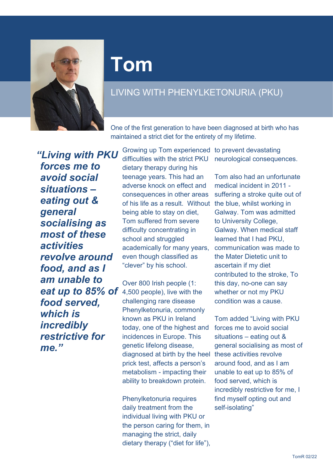

## **Tom**

## LIVING WITH PHENYLKETONURIA (PKU)

One of the first generation to have been diagnosed at birth who has maintained a strict diet for the entirety of my lifetime.

*"Living with PKU forces me to avoid social situations – eating out & general socialising as most of these activities revolve around food, and as I am unable to eat up to 85% of food served, which is incredibly restrictive for me."*

Growing up Tom experienced to prevent devastating difficulties with the strict PKU neurological consequences. dietary therapy during his teenage years. This had an adverse knock on effect and consequences in other areas of his life as a result. Without the blue, whilst working in being able to stay on diet, Tom suffered from severe difficulty concentrating in school and struggled academically for many years, even though classified as "clever" by his school.

Over 800 Irish people (1: 4,500 people), live with the challenging rare disease Phenylketonuria, commonly known as PKU in Ireland today, one of the highest and incidences in Europe. This genetic lifelong disease, diagnosed at birth by the heel these activities revolve prick test, affects a person's metabolism - impacting their ability to breakdown protein.

Phenylketonuria requires daily treatment from the individual living with PKU or the person caring for them, in managing the strict, daily dietary therapy ("diet for life"),

Tom also had an unfortunate medical incident in 2011 suffering a stroke quite out of Galway. Tom was admitted to University College, Galway. When medical staff learned that I had PKU, communication was made to the Mater Dietetic unit to ascertain if my diet contributed to the stroke, To this day, no-one can say whether or not my PKU condition was a cause.

Tom added "Living with PKU forces me to avoid social situations – eating out & general socialising as most of around food, and as I am unable to eat up to 85% of food served, which is incredibly restrictive for me, I find myself opting out and self-isolating"